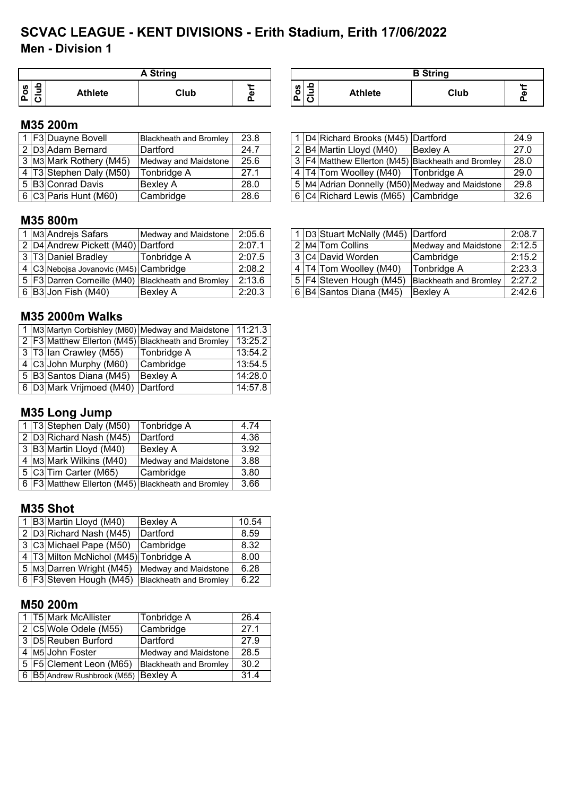# **Men - Division 1 SCVAC LEAGUE - KENT DIVISIONS - Erith Stadium, Erith 17/06/2022**

|         |   |                | <b>A String</b> |   |
|---------|---|----------------|-----------------|---|
| U)<br>o | Ω | <b>Athlete</b> | Club            | Φ |

| <b>A String</b> |   |                |                | <b>B</b> String |  |
|-----------------|---|----------------|----------------|-----------------|--|
| Club            | ω | <b>S</b><br>ஂ௨ | <b>Athlete</b> | Club            |  |

#### **M35 200m**

|  | F3 Duayne Bovell         | <b>Blackheath and Bromley</b> | 23.8 |  | 1 D4 Richard Brooks (M45) Dartford |                                                          | 24.9 |
|--|--------------------------|-------------------------------|------|--|------------------------------------|----------------------------------------------------------|------|
|  | 2 D3 Adam Bernard        | Dartford                      | 24.7 |  | 2 B4 Martin Lloyd (M40)            | Bexley A                                                 | 27.0 |
|  | 3 M3 Mark Rothery (M45)  | Medway and Maidstone          | 25.6 |  |                                    | 3   F4   Matthew Ellerton (M45)   Blackheath and Bromley | 28.0 |
|  | 4 T3 Stephen Daly (M50)  | Tonbridge A                   | 27.1 |  | 4 T4 Tom Woolley (M40) Tonbridge A |                                                          | 29.0 |
|  | 5 B3 Conrad Davis        | Bexlev A                      | 28.0 |  |                                    | 5   M4 Adrian Donnelly (M50)   Medway and Maidstone      | 29.8 |
|  | $6 C3 $ Paris Hunt (M60) | Cambridge                     | 28.6 |  | 6 C4 Richard Lewis (M65) Cambridge |                                                          | 32.6 |

|  | 1 D4 Richard Brooks (M45) Dartford   |                                                    | 24.9 |
|--|--------------------------------------|----------------------------------------------------|------|
|  | 2 B4 Martin Lloyd (M40)              | <b>Bexley A</b>                                    | 27.0 |
|  |                                      | 3 F4 Matthew Ellerton (M45) Blackheath and Bromley | 28.0 |
|  | 4 T4 Tom Woolley (M40)   Tonbridge A |                                                    | 29.0 |
|  |                                      | 5 M4 Adrian Donnelly (M50) Medway and Maidstone    | 29.8 |
|  | 6 C4 Richard Lewis (M65) Cambridge   |                                                    | 32.6 |

## **M35 800m**

|  | 1 M3 Andrejs Safars                    | Medway and Maidstone                                   | 2:05.6 |  | D3 Stuart McNally (M45) Dartford |                               | 2:08.7 |
|--|----------------------------------------|--------------------------------------------------------|--------|--|----------------------------------|-------------------------------|--------|
|  | 2 D4 Andrew Pickett (M40) Dartford     |                                                        | 2:07.1 |  | 2 M4 Tom Collins                 | Medway and Maidstone          | 2:12.5 |
|  | 3 T3 Daniel Bradley                    | Tonbridge A                                            | 2:07.5 |  | 3 C4 David Worden                | Cambridge                     | 2:15.2 |
|  | 4 C3 Nebojsa Jovanovic (M45) Cambridge |                                                        | 2:08.2 |  | 4 T4 Tom Woolley (M40)           | Tonbridge A                   | 2:23.3 |
|  |                                        | 5   F3 Darren Corneille (M40)   Blackheath and Bromley | 2:13.6 |  | 5   F4 Steven Hough (M45)        | <b>Blackheath and Bromley</b> | 2:27.2 |
|  | 6  B3 Jon Fish (M40)                   | <b>Bexley A</b>                                        | 2:20.3 |  | 6 B4 Santos Diana (M45)          | <b>Bexlev A</b>               | 2:42.6 |

#### **M35 2000m Walks**

|  |                                                    | 1 M3 Martyn Corbishley (M60) Medway and Maidstone | 11:21.3              |
|--|----------------------------------------------------|---------------------------------------------------|----------------------|
|  | 2 F3 Matthew Ellerton (M45) Blackheath and Bromley |                                                   | $\overline{13:25.2}$ |
|  | 3 T3 Ian Crawley (M55)                             | Tonbridge A                                       | 13:54.2              |
|  | $\sqrt{4}$ C3 John Murphy (M60)                    | Cambridge                                         | 13:54.5              |
|  | 5 B3 Santos Diana (M45)                            | <b>Bexley A</b>                                   | 14:28.0              |
|  | 6 D3 Mark Vrijmoed (M40) Dartford                  |                                                   | 14:57.8              |

## **M35 Long Jump**

|  | 1 T3 Stephen Daly (M50)                            | Tonbridge A          | 4.74 |
|--|----------------------------------------------------|----------------------|------|
|  | 2 D3 Richard Nash (M45)                            | Dartford             | 4.36 |
|  | 3 B3 Martin Lloyd (M40)                            | Bexley A             | 3.92 |
|  | 4 M3 Mark Wilkins (M40)                            | Medway and Maidstone | 3.88 |
|  | 5 C3 Tim Carter (M65)                              | Cambridge            | 3.80 |
|  | 6 F3 Matthew Ellerton (M45) Blackheath and Bromley |                      | 3.66 |

#### **M35 Shot**

|  | 1 B3 Martin Lloyd (M40)                | <b>Bexley A</b>               | 10.54 |
|--|----------------------------------------|-------------------------------|-------|
|  | 2 D3 Richard Nash (M45)                | Dartford                      | 8.59  |
|  | 3 C3 Michael Pape (M50)                | Cambridge                     | 8.32  |
|  | 4 T3 Milton McNichol (M45) Tonbridge A |                               | 8.00  |
|  | 5 M3 Darren Wright (M45)               | <b>Medway and Maidstone</b>   | 6.28  |
|  | 6 F3 Steven Hough (M45)                | <b>Blackheath and Bromley</b> | 6.22  |

#### **M50 200m**

|  | 1 T5 Mark McAllister                 | Tonbridge A                   | 26.4 |
|--|--------------------------------------|-------------------------------|------|
|  | 2 C5 Wole Odele (M55)                | Cambridge                     | 27.1 |
|  | 3 D5 Reuben Burford                  | Dartford                      | 27.9 |
|  | 4 M <sub>5</sub> John Foster         | Medway and Maidstone          | 28.5 |
|  | 5 F5 Clement Leon (M65)              | <b>Blackheath and Bromley</b> | 30.2 |
|  | 6 B5 Andrew Rushbrook (M55) Bexley A |                               | 31.4 |

|  | 1 D3 Stuart McNally (M45) Dartford |                               | 2:08.7 |
|--|------------------------------------|-------------------------------|--------|
|  | 2 M <sub>4</sub> Tom Collins       | Medway and Maidstone          | 2:12.5 |
|  | 3 C4 David Worden                  | Cambridge                     | 2:15.2 |
|  | 4 T4 Tom Woolley (M40)             | Tonbridge A                   | 2:23.3 |
|  | 5   F4 Steven Hough (M45)          | <b>Blackheath and Bromley</b> | 2:27.2 |
|  | 6 B4 Santos Diana (M45)            | Bexley A                      | 2:42.6 |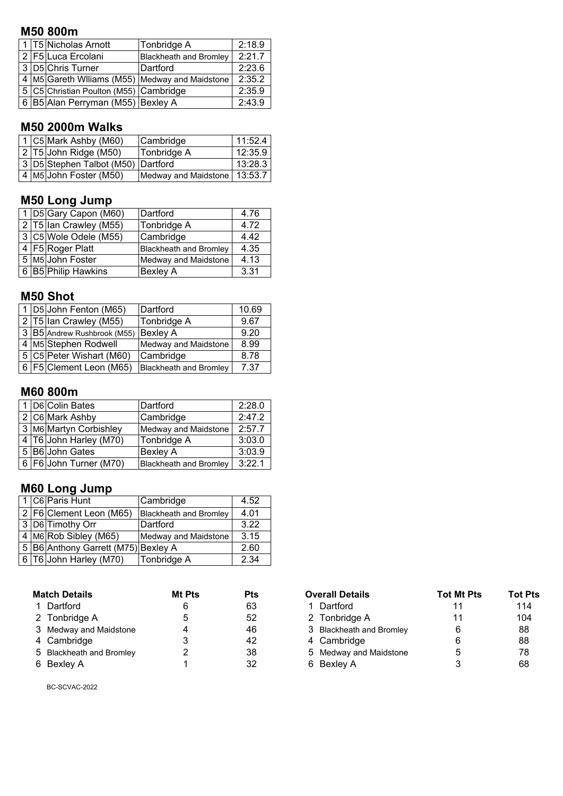### **M50 800m**

|  | 1 T5 Nicholas Arnott                   | Tonbridge A                                     | 2:18.9 |
|--|----------------------------------------|-------------------------------------------------|--------|
|  | 2 F5 Luca Ercolani                     | <b>Blackheath and Bromley</b>                   | 2:21.7 |
|  | 3 D5 Chris Turner                      | Dartford                                        | 2:23.6 |
|  |                                        | 4 M5 Gareth Williams (M55) Medway and Maidstone | 2:35.2 |
|  | 5 C5 Christian Poulton (M55) Cambridge |                                                 | 2:35.9 |
|  | 6 B5 Alan Perryman (M55) Bexley A      |                                                 | 2:43.9 |

## **M50 2000m Walks**

|  | 1 C5 Mark Ashby (M60)              | Cambridge                      | 11:52.4 |
|--|------------------------------------|--------------------------------|---------|
|  | 2 T5 John Ridge (M50)              | Tonbridge A                    | 12:35.9 |
|  | 3 D5 Stephen Talbot (M50) Dartford |                                | 13:28.3 |
|  | 4 M5 John Foster (M50)             | Medway and Maidstone   13:53.7 |         |

## **M50 Long Jump**

|  | 1 D5 Gary Capon (M60)                      | Dartford                      | 4.76 |
|--|--------------------------------------------|-------------------------------|------|
|  | $\sqrt{2}$ T5 $\sqrt{15}$ an Crawley (M55) | Tonbridge A                   | 4.72 |
|  | 3 C5 Wole Odele (M55)                      | Cambridge                     | 4.42 |
|  | 4 F5 Roger Platt                           | <b>Blackheath and Bromley</b> | 4.35 |
|  | 5 M5 John Foster                           | <b>Medway and Maidstone</b>   | 4.13 |
|  | 6 B5 Philip Hawkins                        | <b>Bexley A</b>               | 3.31 |

### **M50 Shot**

|                        | 1 D5 John Fenton (M65)               | Dartford                      | 10.69 |
|------------------------|--------------------------------------|-------------------------------|-------|
| 2 T5 Ian Crawley (M55) |                                      | Tonbridge A                   | 9.67  |
|                        | 3 B5 Andrew Rushbrook (M55) Bexley A |                               | 9.20  |
|                        | 4 M5 Stephen Rodwell                 | Medway and Maidstone          | 8.99  |
|                        | 5 C5 Peter Wishart (M60)             | Cambridge                     | 8.78  |
|                        | 6   F5   Clement Leon (M65)          | <b>Blackheath and Bromley</b> | 7.37  |

## **M60 800m**

|                 | 1 D6 Colin Bates       | Dartford                      | 2:28.0 |
|-----------------|------------------------|-------------------------------|--------|
| 2 C6 Mark Ashby |                        | Cambridge                     | 2:47.2 |
|                 | 3 M6 Martyn Corbishley | Medway and Maidstone          | 2:57.7 |
|                 | 4 T6 John Harley (M70) | Tonbridge A                   | 3:03.0 |
|                 | 5 B6 John Gates        | <b>Bexley A</b>               | 3:03.9 |
|                 | 6 F6 John Turner (M70) | <b>Blackheath and Bromley</b> | 3:22.1 |

# **M60 Long Jump**

|  | 1 C6 Paris Hunt                     | Cambridge                     | 4.52 |
|--|-------------------------------------|-------------------------------|------|
|  | 2   F6   Clement Leon (M65)         | <b>Blackheath and Bromley</b> | 4.01 |
|  | 3 D6 Timothy Orr                    | Dartford                      | 3.22 |
|  | 4   M6 Rob Sibley (M65)             | Medway and Maidstone          | 3.15 |
|  | 5 B6 Anthony Garrett (M75) Bexley A |                               | 2.60 |
|  | 6 T6 John Harley (M70)              | Tonbridge A                   | 2.34 |

| <b>Match Details</b>     | Mt Pts | Pts | <b>Overall Details</b>   | <b>Tot Mt Pts</b> | Tot F           |
|--------------------------|--------|-----|--------------------------|-------------------|-----------------|
| 1 Dartford               |        | 63  | Dartford                 |                   | 114             |
| 2 Tonbridge A            |        | 52  | 2 Tonbridge A            |                   | 10 <sub>4</sub> |
| 3 Medway and Maidstone   |        | 46  | 3 Blackheath and Bromley | 6                 | 88              |
| 4 Cambridge              |        | 42  | 4 Cambridge              | 6                 | 88              |
| 5 Blackheath and Bromley |        | 38  | 5 Medway and Maidstone   | 5                 | 78              |
| 6 Bexley A               |        | 32  | 6 Bexley A               |                   | 68              |

| Mt Pts                                                                                                                                 | <b>Pts</b> | <b>Overall Details</b>   | <b>Tot Mt Pts</b> | <b>Tot Pts</b> |
|----------------------------------------------------------------------------------------------------------------------------------------|------------|--------------------------|-------------------|----------------|
|                                                                                                                                        | 63         | ⊟ Dartford               |                   | 114            |
|                                                                                                                                        | 52         | 2 Tonbridge A            | 11                | 104            |
| Δ                                                                                                                                      | 46         | 3 Blackheath and Bromley | 6                 | 88             |
|                                                                                                                                        | 42         | 4 Cambridge              |                   | 88             |
|                                                                                                                                        | 38         | 5 Medway and Maidstone   | 5                 | 78             |
|                                                                                                                                        | 32         | 6 Bexley A               |                   | 68             |
| <b>Match Details</b><br>1 Dartford<br>2 Tonbridge A<br>3 Medway and Maidstone<br>4 Cambridge<br>5 Blackheath and Bromley<br>6 Bexley A |            |                          |                   |                |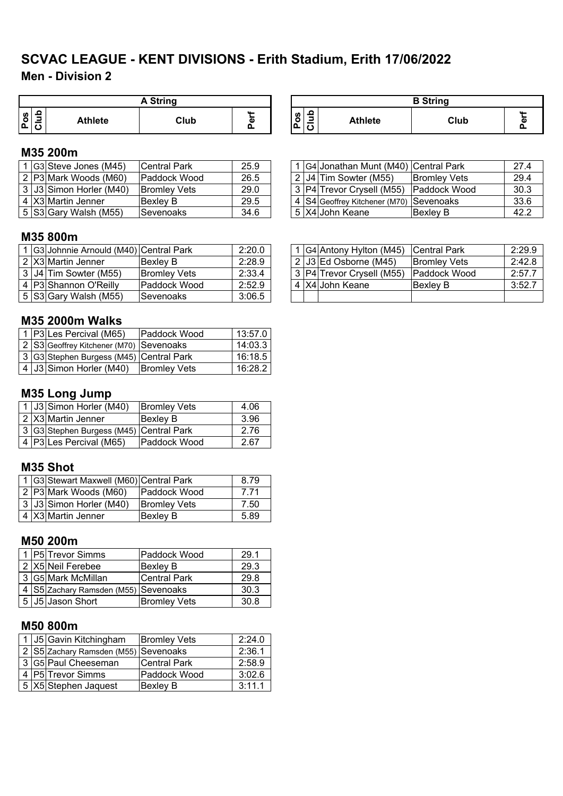## **Men - Division 2 SCVAC LEAGUE - KENT DIVISIONS - Erith Stadium, Erith 17/06/2022**

|        | A String |                |      |   |  |  |  |  |  |  |
|--------|----------|----------------|------|---|--|--|--|--|--|--|
| n<br>o |          | <b>Athlete</b> | Club | ω |  |  |  |  |  |  |

#### **Pos Club** Athlete **Club Perf A String B String**

## **M35 200m**

|  | ' IG3ISteve Jones (M45) ∶ | <b>Central Park</b>  | 25.9 |  | 1 G4 Jonathan Munt (M40) Central Park       |                      | 27.4 |
|--|---------------------------|----------------------|------|--|---------------------------------------------|----------------------|------|
|  | 2 P3 Mark Woods (M60)     | <b>IPaddock Wood</b> | 26.5 |  | 2   J4   Tim Sowter (M55)                   | <b>Bromley Vets</b>  | 29.4 |
|  | 3 J3 Simon Horler (M40)   | <b>IBromlev Vets</b> | 29.0 |  | 13   P4   Trevor Crvsell (M55)              | <b>IPaddock Wood</b> | 30.3 |
|  | 4 X3 Martin Jenner        | IBexlev B            | 29.5 |  | I 4 IS4IGeoffrev Kitchener (M70) ISevenoaks |                      | 33.6 |
|  | $5$ S3 Gary Walsh (M55)   | <b>ISevenoaks</b>    | 34.6 |  | l 5 IX4IJohn Keane                          | Bexlev B             | 42.2 |

|  | 1 G4 Jonathan Munt (M40) Central Park       |                     | 27.4 |
|--|---------------------------------------------|---------------------|------|
|  | 2 J4 Tim Sowter (M55)                       | <b>Bromley Vets</b> | 29.4 |
|  | 3 P4 Trevor Crysell (M55) Paddock Wood      |                     | 30.3 |
|  | 4   S4 Geoffrey Kitchener (M70)   Sevenoaks |                     | 33.6 |
|  | 5 X4 John Keane                             | <b>Bexley B</b>     | 42.2 |

### **M35 800m**

|  | 1 G3 Johnnie Arnould (M40) Central Park |                     | 2:20.0 |  | 1 G4 Antony Hylton (M45)      | <b>Central Park</b>  | 2:29.9 |
|--|-----------------------------------------|---------------------|--------|--|-------------------------------|----------------------|--------|
|  | ⊤2 X3 Martin Jenner                     | Bexley B            | 2:28.9 |  | ∣ 2  J3  Ed Osborne (M45)     | <b>Bromley Vets</b>  | 2:42.8 |
|  | ⊤3 JJ4 Tim Sowter (M55)                 | <b>Bromley Vets</b> | 2:33.4 |  | 3   P4   Trevor Crysell (M55) | <b>IPaddock Wood</b> | 2:57.7 |
|  | 4 P3 Shannon O'Reilly                   | <b>Paddock Wood</b> | 2:52.9 |  | 4 X4 John Keane               | IBexlev B            | 3:52.7 |
|  | 5 S3 Gary Walsh (M55)                   | lSevenoaks.         | 3:06.5 |  |                               |                      |        |

#### **M35 2000m Walks**

|  | 1   P3   Les Percival (M65)             | <b>Paddock Wood</b> | 13:57.0 |
|--|-----------------------------------------|---------------------|---------|
|  | 2 S3 Geoffrey Kitchener (M70) Sevenoaks |                     | 14:03.3 |
|  | 3 G3 Stephen Burgess (M45) Central Park |                     | 16:18.5 |
|  | 4 J3 Simon Horler (M40)                 | <b>Bromley Vets</b> | 16:28.2 |

## **M35 Long Jump**

|  | 1 J3 Simon Horler (M40)                 | <b>Bromley Vets</b> | 4.06 |
|--|-----------------------------------------|---------------------|------|
|  | 2 X3 Martin Jenner                      | <b>Bexley B</b>     | 3.96 |
|  | 3 G3 Stephen Burgess (M45) Central Park |                     | 2.76 |
|  | 4 P3 Les Percival (M65)                 | Paddock Wood        | 2.67 |

## **M35 Shot**

|  | 1 G3 Stewart Maxwell (M60) Central Park |                     | 8 79 |
|--|-----------------------------------------|---------------------|------|
|  | 2 P3 Mark Woods (M60)                   | <b>Paddock Wood</b> | 7.71 |
|  | 3 J3 Simon Horler (M40)                 | <b>Bromley Vets</b> | 7.50 |
|  | 4 X3 Martin Jenner                      | <b>Bexley B</b>     | 5.89 |

#### **M50 200m**

|  | 1 P5 Trevor Simms                    | Paddock Wood        | 29.1 |
|--|--------------------------------------|---------------------|------|
|  | 2 X5 Neil Ferebee                    | <b>Bexley B</b>     | 29.3 |
|  | 3 G5 Mark McMillan                   | <b>Central Park</b> | 29.8 |
|  | 4 S5 Zachary Ramsden (M55) Sevenoaks |                     | 30.3 |
|  | 5 J5 Jason Short                     | <b>Bromley Vets</b> | 30.8 |

#### **M50 800m**

|  | 1 J5 Gavin Kitchingham               | <b>Bromley Vets</b> | 2:24.0 |
|--|--------------------------------------|---------------------|--------|
|  | 2 S5 Zachary Ramsden (M55) Sevenoaks |                     | 2:36.1 |
|  | 3 G5 Paul Cheeseman                  | <b>Central Park</b> | 2:58.9 |
|  | 4 P5 Trevor Simms                    | Paddock Wood        | 3:02.6 |
|  | 5 X5 Stephen Jaquest                 | <b>Bexley B</b>     | 3:11.1 |

|  | 1 G4 Antony Hylton (M45)  | <b>Central Park</b> | 2:29.9 |
|--|---------------------------|---------------------|--------|
|  | 2 J3 Ed Osborne (M45)     | <b>Bromley Vets</b> | 2:42.8 |
|  | 3 P4 Trevor Crysell (M55) | Paddock Wood        | 2:57.7 |
|  | 4 X4 John Keane           | <b>Bexley B</b>     | 3:52.7 |
|  |                           |                     |        |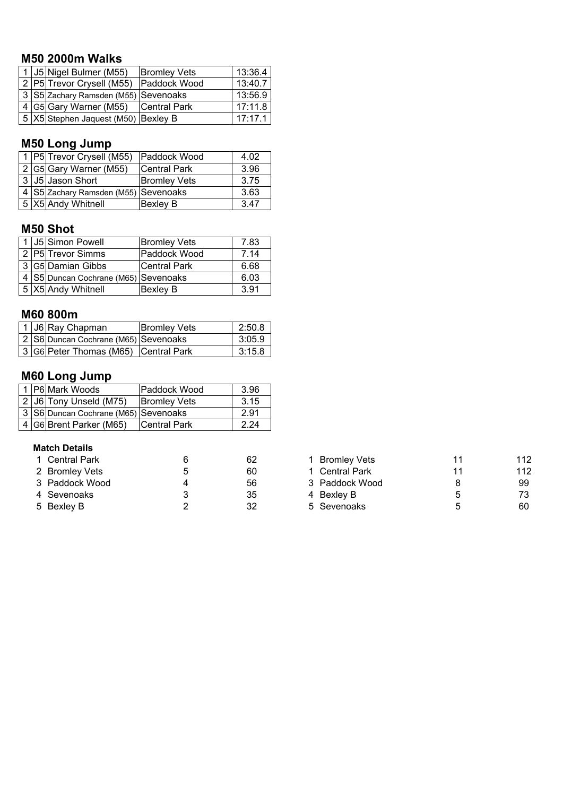## **M50 2000m Walks**

|  | 1 J5 Nigel Bulmer (M55)                | <b>Bromley Vets</b> | 13:36.4 |
|--|----------------------------------------|---------------------|---------|
|  | 2 P5 Trevor Crysell (M55) Paddock Wood |                     | 13:40.7 |
|  | 3 S5 Zachary Ramsden (M55) Sevenoaks   |                     | 13:56.9 |
|  | 4 G5 Gary Warner (M55) Central Park    |                     | 17:11.8 |
|  | 5  X5 Stephen Jaquest (M50)  Bexley B  |                     | 17:17.1 |

# **M50 Long Jump**

|  | 1 P5 Trevor Crysell (M55)            | Paddock Wood        | 4.02 |
|--|--------------------------------------|---------------------|------|
|  | 2 G5 Gary Warner (M55)               | Central Park        | 3.96 |
|  | 3 J5 Jason Short                     | <b>Bromley Vets</b> | 3.75 |
|  | 4 S5 Zachary Ramsden (M55) Sevenoaks |                     | 3.63 |
|  | 5 X5 Andy Whitnell                   | Bexley B            | 3.47 |

## **M50 Shot**

|  | 1 J5 Simon Powell                    | <b>Bromley Vets</b> | 7.83 |
|--|--------------------------------------|---------------------|------|
|  | 2 P5 Trevor Simms                    | Paddock Wood        | 7 14 |
|  | 3 G5 Damian Gibbs                    | <b>Central Park</b> | 6.68 |
|  | 4 S5 Duncan Cochrane (M65) Sevenoaks |                     | 6.03 |
|  | 5 X5 Andy Whitnell                   | Bexley B            | 3.91 |

## **M60 800m**

|  | 1 J6 Ray Chapman                     | <b>Bromley Vets</b> | 2:50.8 |
|--|--------------------------------------|---------------------|--------|
|  | 2 S6 Duncan Cochrane (M65) Sevenoaks |                     | 3:05.9 |
|  | 3 G6 Peter Thomas (M65) Central Park |                     | 3:15.8 |

## **M60 Long Jump**

|  | 1 P6 Mark Woods                      | Paddock Wood        | 3.96 |
|--|--------------------------------------|---------------------|------|
|  | 2 J6 Tony Unseld (M75)               | <b>Bromley Vets</b> | 3.15 |
|  | 3 S6 Duncan Cochrane (M65) Sevenoaks |                     | 2.91 |
|  | 4 G6 Brent Parker (M65)              | Central Park        | 2.24 |

#### **Match Details**

| 1 Central Park | 62 | 1 Bromley Vets |    | 112 |
|----------------|----|----------------|----|-----|
| 2 Bromley Vets | 60 | 1 Central Park | 11 | 112 |
| 3 Paddock Wood | 56 | 3 Paddock Wood |    | 99  |
| 4 Sevenoaks    | 35 | 4 Bexley B     | 5  | 73  |
| 5 Bexley B     | 32 | 5 Sevenoaks    | h  | 60  |

| 1 Bromley Vets | 11 | 112 |
|----------------|----|-----|
| 1 Central Park | 11 | 112 |
| 3 Paddock Wood | 8  | 99  |
| 4 Bexley B     | 5  | 73  |
| 5 Sevenoaks    | 5  | 60  |
|                |    |     |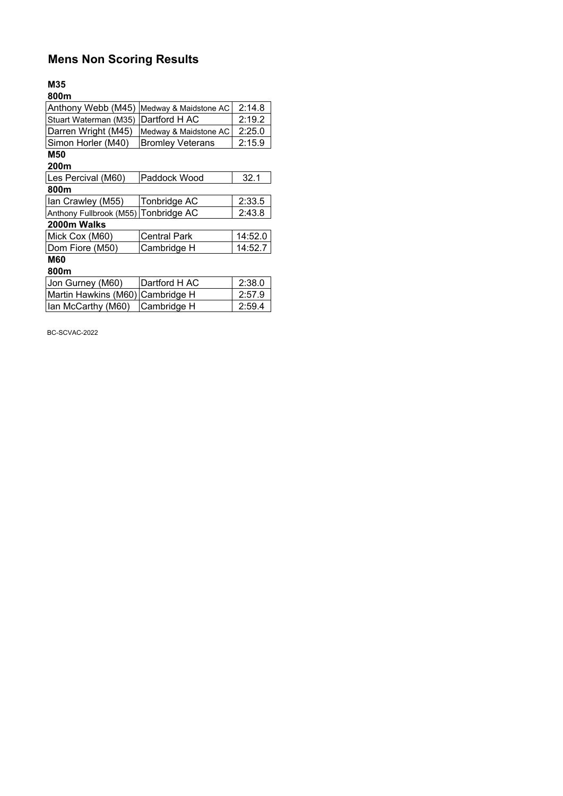# **Mens Non Scoring Results**

Ian McCarthy (M60) Cambridge H

#### **M35**

| 800m                    |                         |         |
|-------------------------|-------------------------|---------|
| Anthony Webb (M45)      | Medway & Maidstone AC   | 2:14.8  |
| Stuart Waterman (M35)   | Dartford H AC           | 2:19.2  |
| Darren Wright (M45)     | Medway & Maidstone AC   | 2:25.0  |
| Simon Horler (M40)      | <b>Bromley Veterans</b> | 2:15.9  |
| <b>M50</b>              |                         |         |
| 200m                    |                         |         |
| Les Percival (M60)      | Paddock Wood            | 32.1    |
| 800m                    |                         |         |
| Ian Crawley (M55)       | Tonbridge AC            | 2:33.5  |
| Anthony Fullbrook (M55) | <b>Tonbridge AC</b>     | 2:43.8  |
| 2000m Walks             |                         |         |
| Mick Cox (M60)          | <b>Central Park</b>     | 14:52.0 |
| Dom Fiore (M50)         | Cambridge H             | 14:52.7 |
| <b>M60</b>              |                         |         |
| 800m                    |                         |         |
| Jon Gurney (M60)        | Dartford H AC           | 2:38.0  |
| Martin Hawkins (M60)    | Cambridge H             | 2:57.9  |
| lan McCarthy (M60)      | Cambridge H             | 2:59.4  |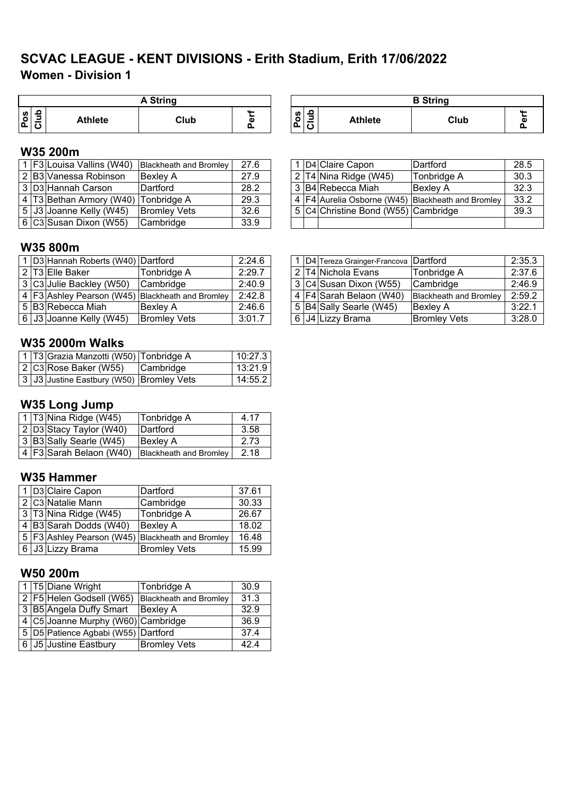## **Women - Division 1 SCVAC LEAGUE - KENT DIVISIONS - Erith Stadium, Erith 17/06/2022**

|        | <b>A String</b> |                |      |         |  |  |  |  |
|--------|-----------------|----------------|------|---------|--|--|--|--|
| n<br>O | o               | <b>Athlete</b> | Club | ш.<br>Φ |  |  |  |  |

| A String |    |        |                                  | <b>B</b> String |      |                    |
|----------|----|--------|----------------------------------|-----------------|------|--------------------|
| Club     | C. | w<br>o | ء<br>$\,$<br>ے<br>$\overline{a}$ | <b>Athlete</b>  | Club | $\mathbf{u}$<br>ሰነ |

## **W35 200m**

|  |                                      | Blackheath and Bromley | 27.6 |  | D4 Claire Capon                     | Dartford                                              | 28.5 |
|--|--------------------------------------|------------------------|------|--|-------------------------------------|-------------------------------------------------------|------|
|  | 2 B3 Vanessa Robinson                | <b>Bexley A</b>        | 27.9 |  | $2$ T4 Nina Ridge (W45)             | Tonbridge A                                           | 30.3 |
|  | 3 D3 Hannah Carson                   | Dartford               | 28.2 |  | 3 B4 Rebecca Miah                   | <b>Bexley A</b>                                       | 32.3 |
|  | 4 T3 Bethan Armory (W40) Tonbridge A |                        | 29.3 |  |                                     | 4   F4 Aurelia Osborne (W45)   Blackheath and Bromley | 33.2 |
|  | 5 J3 Joanne Kelly (W45)              | <b>Bromley Vets</b>    | 32.6 |  | 5 C4 Christine Bond (W55) Cambridge |                                                       | 39.3 |
|  | $6$ C3 Susan Dixon (W55)             | Cambridge              | 33.9 |  |                                     |                                                       |      |

|  | 1 D4 Claire Capon                                   | Dartford        | 28.5 |
|--|-----------------------------------------------------|-----------------|------|
|  | 2 T4 Nina Ridge (W45)                               | Tonbridge A     | 30.3 |
|  | 3 B4 Rebecca Miah                                   | <b>Bexley A</b> | 32.3 |
|  | 4   F4 Aurelia Osborne (W45) Blackheath and Bromley |                 | 33.2 |
|  | 5 C4 Christine Bond (W55) Cambridge                 |                 | 39.3 |
|  |                                                     |                 |      |

#### **W35 800m**

|  | 1 D3 Hannah Roberts (W40) Dartford     |                                                      | 2:24.6 |  | 1   D4   Tereza Grainger-Francova   Dartford |                               | 2:35.3 |
|--|----------------------------------------|------------------------------------------------------|--------|--|----------------------------------------------|-------------------------------|--------|
|  | ı 2 İT3İElle Baker                     | Tonbridge A                                          | 2:29.7 |  | l 2  T4  Nichola Evans                       | Tonbridge A                   | 2:37.6 |
|  | 3 C3 Julie Backley (W50)               | Cambridge                                            | 2:40.9 |  | 3 C4 Susan Dixon (W55)                       | Cambridge                     | 2:46.9 |
|  |                                        | 4   F3 Ashley Pearson (W45)   Blackheath and Bromley | 2:42.8 |  | $\sqrt{4}$ F4 Sarah Belaon (W40)             | <b>Blackheath and Bromley</b> | 2:59.2 |
|  | . 5 B3 Rebecca Miah                    | Bexley A                                             | 2:46.6 |  | 5 B4 Sally Searle (W45)                      | <b>Bexley A</b>               | 3:22.1 |
|  | $6 \mid$ J $3 \mid$ Joanne Kelly (W45) | <b>Bromley Vets</b>                                  | 3:01.7 |  | 6 J4 Lizzy Brama                             | <b>Bromley Vets</b>           | 3:28.0 |

### **W35 2000m Walks**

|  | 1  T3 Grazia Manzotti (W50)  Tonbridge A |                  | 10:27.3 |
|--|------------------------------------------|------------------|---------|
|  | 2 C3 Rose Baker (W55)                    | <b>Cambridge</b> | 13:21.9 |
|  | 3 J3 Justine Eastbury (W50) Bromley Vets |                  | 14:55.2 |

#### **W35 Long Jump**

|  | $\sqrt{1}$ T3 Nina Ridge (W45) | Tonbridge A                   | 4.17 |
|--|--------------------------------|-------------------------------|------|
|  | $2$ D3 Stacy Taylor (W40)      | Dartford                      | 3.58 |
|  | 3 B3 Sally Searle (W45)        | <b>Bexley A</b>               | 2.73 |
|  | 4   F3 Sarah Belaon (W40)      | <b>Blackheath and Bromley</b> | 2.18 |

### **W35 Hammer**

|   | 1 D3 Claire Capon                                      | Dartford            | 37.61 |
|---|--------------------------------------------------------|---------------------|-------|
|   | 2 C3 Natalie Mann                                      | Cambridge           | 30.33 |
|   | 3 T3 Nina Ridge (W45)                                  | Tonbridge A         | 26.67 |
|   | 4 B3 Sarah Dodds (W40)                                 | <b>Bexley A</b>     | 18.02 |
|   | 5   F3   Ashley Pearson (W45)   Blackheath and Bromley |                     | 16.48 |
| 6 | J3 Lizzy Brama                                         | <b>Bromley Vets</b> | 15.99 |

### **W50 200m**

|  | 1   T5   Diane Wright                   | Tonbridge A                   | 30.9 |
|--|-----------------------------------------|-------------------------------|------|
|  | 2 F5 Helen Godsell (W65)                | <b>Blackheath and Bromley</b> | 31.3 |
|  | 3 B5 Angela Duffy Smart                 | <b>Bexley A</b>               | 32.9 |
|  | 4 C5 Joanne Murphy (W60) Cambridge      |                               | 36.9 |
|  | 5   D5   Patience Agbabi (W55) Dartford |                               | 37.4 |
|  | 6 J5 Justine Eastbury                   | <b>Bromley Vets</b>           | 424  |

|  | 1   D4   Tereza Grainger-Francova   Dartford |                               | 2:35.3 |
|--|----------------------------------------------|-------------------------------|--------|
|  | 2 T4 Nichola Evans                           | Tonbridge A                   | 2:37.6 |
|  | 3 C4 Susan Dixon (W55)                       | Cambridge                     | 2:46.9 |
|  | 4   F4 Sarah Belaon (W40)                    | <b>Blackheath and Bromley</b> | 2:59.2 |
|  | 5 B4 Sally Searle (W45)                      | <b>Bexley A</b>               | 3:22.1 |
|  | 6 J4 Lizzy Brama                             | <b>Bromley Vets</b>           | 3:28.0 |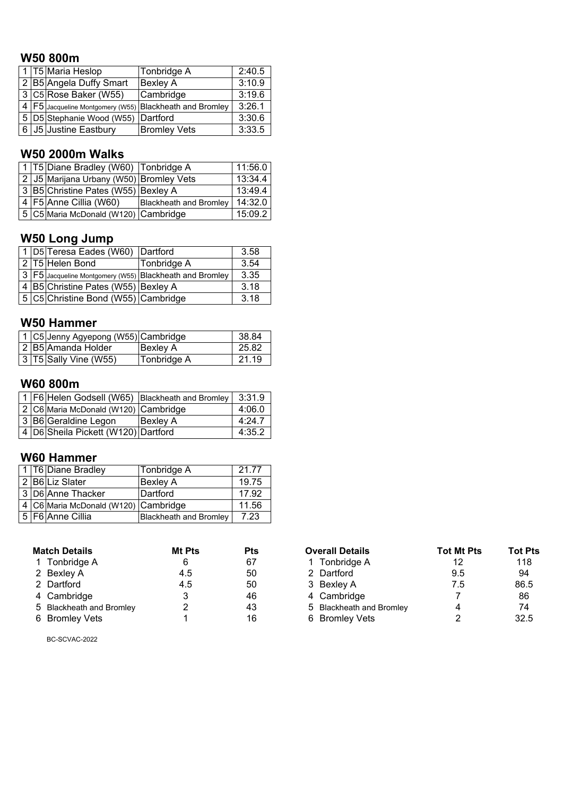## **W50 800m**

|  | 1   T5   Maria Heslop                                     | Tonbridge A         | 2:40.5 |
|--|-----------------------------------------------------------|---------------------|--------|
|  | 2 B5 Angela Duffy Smart                                   | <b>Bexley A</b>     | 3:10.9 |
|  | 3 C5 Rose Baker (W55)                                     | Cambridge           | 3:19.6 |
|  | 4   F5 Jacqueline Montgomery (W55) Blackheath and Bromley |                     | 3:26.1 |
|  | 5 D5 Stephanie Wood (W55) Dartford                        |                     | 3:30.6 |
|  | 6 J5 Justine Eastbury                                     | <b>Bromley Vets</b> | 3:33.5 |

## **W50 2000m Walks**

|  | 1 T5 Diane Bradley (W60) Tonbridge A    |                               | 11:56.0 |
|--|-----------------------------------------|-------------------------------|---------|
|  | 2 J5 Marijana Urbany (W50) Bromley Vets |                               | 13:34.4 |
|  | 3 B5 Christine Pates (W55) Bexley A     |                               | 13:49.4 |
|  | 4   F5 Anne Cillia (W60)                | <b>Blackheath and Bromley</b> | 14:32.0 |
|  | 5 C5 Maria McDonald (W120) Cambridge    |                               | 15:09.2 |

## **W50 Long Jump**

|  | 1 D5 Teresa Eades (W60) Dartford                            |             | 3.58 |
|--|-------------------------------------------------------------|-------------|------|
|  | 2 T5 Helen Bond                                             | Tonbridge A | 3.54 |
|  | 3   F5 Jacqueline Montgomery (W55)   Blackheath and Bromley |             | 3.35 |
|  | 4 B5 Christine Pates (W55) Bexley A                         |             | 3.18 |
|  | 5 C5 Christine Bond (W55) Cambridge                         |             | 3.18 |

#### **W50 Hammer**

|  | 1 C5 Jenny Agyepong (W55) Cambridge |             | 38.84 |
|--|-------------------------------------|-------------|-------|
|  | 2 B5 Amanda Holder                  | Bexley A    | 25.82 |
|  | $\sqrt{3}$ T5 Sally Vine (W55)      | Tonbridge A | 21.19 |

### **W60 800m**

| 1 F6 Helen Godsell (W65) Blackheath and Bromley |                                     |                 | 3:31.9 |
|-------------------------------------------------|-------------------------------------|-----------------|--------|
| 2 C6 Maria McDonald (W120) Cambridge            |                                     |                 | 4:06.0 |
| 3 B6 Geraldine Legon                            |                                     | <b>Bexley A</b> | 4:24.7 |
|                                                 | 4 D6 Sheila Pickett (W120) Dartford |                 | 4:35.2 |

## **W60 Hammer**

|  | 1 T6 Diane Bradley                   | Tonbridge A            | 21.77 |
|--|--------------------------------------|------------------------|-------|
|  | 2 B6 Liz Slater                      | <b>Bexley A</b>        | 19.75 |
|  | 3 D6 Anne Thacker                    | Dartford               | 17.92 |
|  | 4 C6 Maria McDonald (W120) Cambridge |                        | 11.56 |
|  | 5   F6   Anne Cillia                 | Blackheath and Bromley | 7.23  |

| <b>Match Details</b>     | Mt Pts | Pts | <b>Overall Details</b>   | <b>Tot Mt Pts</b> | <b>Tot Pts</b> |
|--------------------------|--------|-----|--------------------------|-------------------|----------------|
| 1 Tonbridge A            | 6      | 67  | 1 Tonbridge A            | 12                | 118            |
| 2 Bexley A               | 4.5    | 50  | 2 Dartford               | 9.5               | 94             |
| 2 Dartford               | 4.5    | 50  | 3 Bexley A               | 7.5               | 86.5           |
| 4 Cambridge              |        | 46  | 4 Cambridge              |                   | 86             |
| 5 Blackheath and Bromley |        | 43  | 5 Blackheath and Bromley |                   | 74             |
| 6 Bromley Vets           |        | 16  | 6 Bromley Vets           |                   | 32.5           |

| ี atch Details           | Mt Pts | <b>Pts</b> | <b>Overall Details</b>   | <b>Tot Mt Pts</b> | Tot Pts |
|--------------------------|--------|------------|--------------------------|-------------------|---------|
| 1 Tonbridge A            |        | 67         | Tonbridge A              | 12                | 118     |
| 2 Bexley A               | 4.5    | 50         | 2 Dartford               | 9.5               | 94      |
| 2 Dartford               | 4.5    | 50         | 3 Bexley A               | 7.5               | 86.5    |
| 4 Cambridge              |        | 46         | 4 Cambridge              |                   | 86      |
| 5 Blackheath and Bromley |        | 43         | 5 Blackheath and Bromley |                   | 74      |
| 6 Bromley Vets           |        | 16         | 6 Bromley Vets           |                   | 32.5    |
|                          |        |            |                          |                   |         |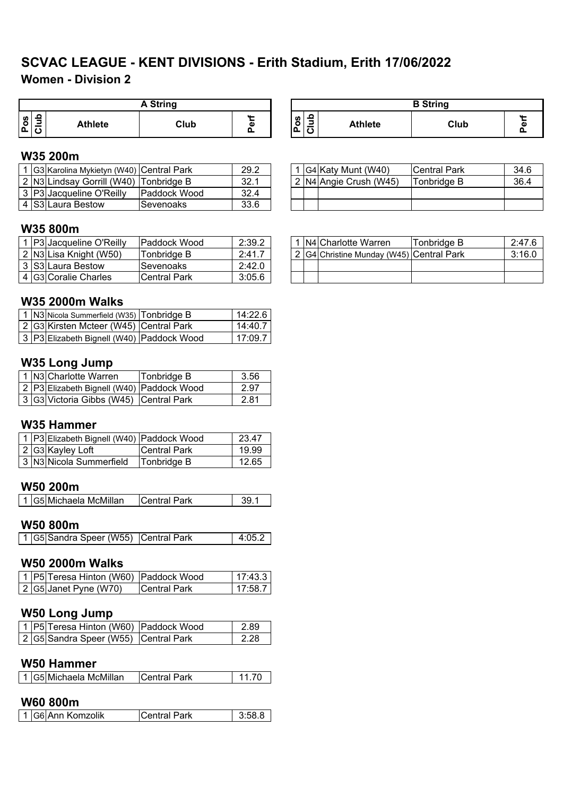# **SCVAC LEAGUE - KENT DIVISIONS - Erith Stadium, Erith 17/06/2022**

## **Women - Division 2**

|        | <b>A String</b> |                |      |   |  |  |  |  |  |  |
|--------|-----------------|----------------|------|---|--|--|--|--|--|--|
| n<br>் |                 | <b>Athlete</b> | Club | ω |  |  |  |  |  |  |

#### **W35 200m**

|  | LG3IKarolina Mykietyn (W40) ICentral Park |                     | 29.2 |  | IG4IKaty Munt (W40)     | <b>Central Park</b> | 34.6 |
|--|-------------------------------------------|---------------------|------|--|-------------------------|---------------------|------|
|  | 2 N3 Lindsay Gorrill (W40) Tonbridge B    |                     | 32.1 |  | 2  N4 Angie Crush (W45) | Tonbridge B         | 36.4 |
|  | 3   P3   Jacqueline O'Reilly              | <b>Paddock Wood</b> | 32.4 |  |                         |                     |      |
|  | 4 S3 Laura Bestow                         | Sevenoaks           | 33.6 |  |                         |                     |      |

### **W35 800m**

|  | ⊟P3 Jacqueline O'Reilly | <b>IPaddock Wood</b> | 2:39.2 |  | <b>IN4ICharlotte Warren</b>              | Tonbridae B | 2:47.6 |
|--|-------------------------|----------------------|--------|--|------------------------------------------|-------------|--------|
|  | 2 N3 Lisa Knight (W50)  | Tonbridge B          | 2:41.  |  | 2 G4 Christine Munday (W45) Central Park |             | 3:16.0 |
|  | 3 S3 Laura Bestow       | Sevenoaks            | 2:42.0 |  |                                          |             |        |
|  | 4 G3 Coralie Charles    | <b>Central Park</b>  | 3:05.6 |  |                                          |             |        |

#### **W35 2000m Walks**

|  | 1 N3 Nicola Summerfield (W35) Tonbridge B | 14:22.6 |
|--|-------------------------------------------|---------|
|  | 2 G3 Kirsten Mcteer (W45) Central Park    | 14:40.7 |
|  | 3 P3 Elizabeth Bignell (W40) Paddock Wood | 17:09.7 |

### **W35 Long Jump**

|  | 1 N3 Charlotte Warren                     | Tonbridge B | 3.56  |
|--|-------------------------------------------|-------------|-------|
|  | 2 P3 Elizabeth Bignell (W40) Paddock Wood |             | 2.97  |
|  | 3 G3 Victoria Gibbs (W45) Central Park    |             | -2.81 |

#### **W35 Hammer**

|  | 1 P3 Elizabeth Bignell (W40) Paddock Wood |                     | 23.47 |
|--|-------------------------------------------|---------------------|-------|
|  | 2 G3 Kayley Loft                          | <b>Central Park</b> | 19.99 |
|  | 3 N3 Nicola Summerfield                   | Tonbridge B         | 12.65 |

#### **W50 200m**

| 1 G5 Michaela McMillan<br><b>Central Park</b> |
|-----------------------------------------------|
|-----------------------------------------------|

### **W50 800m**

|  |  | 1 G5 Sandra Speer (W55) Central Park |  | 4:05.2 |
|--|--|--------------------------------------|--|--------|
|--|--|--------------------------------------|--|--------|

#### **W50 2000m Walks**

|  | 1 P5 Teresa Hinton (W60) Paddock Wood |                     | 17:43.3 |
|--|---------------------------------------|---------------------|---------|
|  | 2 G5 Janet Pyne (W70)                 | <b>Central Park</b> | 17:58.7 |

## **W50 Long Jump**

|  | 1   P5   Teresa Hinton (W60)   Paddock Wood | 2.89  |
|--|---------------------------------------------|-------|
|  | 2 G5 Sandra Speer (W55) Central Park        | -2.28 |

#### **W50 Hammer**

| l 1 lG5lMichaela McMillan.<br><b>Central Park</b> |
|---------------------------------------------------|
|---------------------------------------------------|

### **W60 800m**

| SAnn Komzolik ا<br>$\blacksquare$<br>1026 | Park |  |
|-------------------------------------------|------|--|
|-------------------------------------------|------|--|

| <b>A String</b> |   | <b>B</b> String               |                          |      |  |
|-----------------|---|-------------------------------|--------------------------|------|--|
| Club            | ω | ≏<br><b>S</b><br>$\circ$<br>o | -<br><b>Athlete</b><br>پ | Club |  |

|  | 1 G4 Katy Munt (W40)       | <b>Central Park</b> | 34.6 |
|--|----------------------------|---------------------|------|
|  | 2   N4   Angie Crush (W45) | Tonbridge B         | 36.4 |
|  |                            |                     |      |
|  |                            |                     |      |

|  | 1 N4 Charlotte Warren                    | Tonbridge B | 2:47.6 |
|--|------------------------------------------|-------------|--------|
|  | 2 G4 Christine Munday (W45) Central Park |             | 3:16.0 |
|  |                                          |             |        |
|  |                                          |             |        |